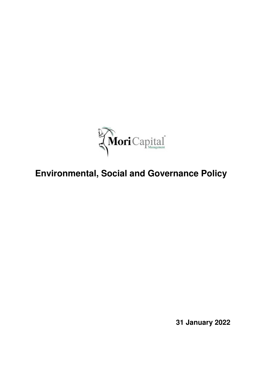

# **Environmental, Social and Governance Policy**

**31 January 2022**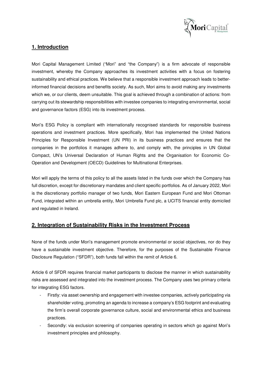

# **1. Introduction**

Mori Capital Management Limited ("Mori" and "the Company") is a firm advocate of responsible investment, whereby the Company approaches its investment activities with a focus on fostering sustainability and ethical practices. We believe that a responsible investment approach leads to betterinformed financial decisions and benefits society. As such, Mori aims to avoid making any investments which we, or our clients, deem unsuitable. This goal is achieved through a combination of actions: from carrying out its stewardship responsibilities with investee companies to integrating environmental, social and governance factors (ESG) into its investment process.

Mori's ESG Policy is compliant with internationally recognised standards for responsible business operations and investment practices. More specifically, Mori has implemented the United Nations Principles for Responsible Investment (UN PRI) in its business practices and ensures that the companies in the portfolios it manages adhere to, and comply with, the principles in UN Global Compact, UN's Universal Declaration of Human Rights and the Organisation for Economic Co-Operation and Development (OECD) Guidelines for Multinational Enterprises.

Mori will apply the terms of this policy to all the assets listed in the funds over which the Company has full discretion, except for discretionary mandates and client specific portfolios. As of January 2022, Mori is the discretionary portfolio manager of two funds, Mori Eastern European Fund and Mori Ottoman Fund, integrated within an umbrella entity, Mori Umbrella Fund plc, a UCITS financial entity domiciled and regulated in Ireland.

# **2. Integration of Sustainability Risks in the Investment Process**

None of the funds under Mori's management promote environmental or social objectives, nor do they have a sustainable investment objective. Therefore, for the purposes of the Sustainable Finance Disclosure Regulation ("SFDR"), both funds fall within the remit of Article 6.

Article 6 of SFDR requires financial market participants to disclose the manner in which sustainability risks are assessed and integrated into the investment process. The Company uses two primary criteria for integrating ESG factors.

- Firstly: via asset ownership and engagement with investee companies, actively participating via shareholder voting, promoting an agenda to increase a company's ESG footprint and evaluating the firm's overall corporate governance culture, social and environmental ethics and business practices.
- Secondly: via exclusion screening of companies operating in sectors which go against Mori's investment principles and philosophy.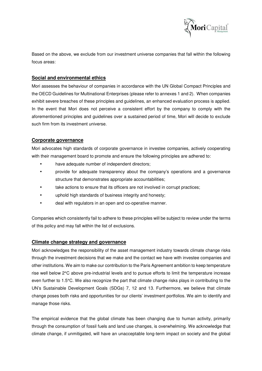

Based on the above, we exclude from our investment universe companies that fall within the following focus areas:

#### **Social and environmental ethics**

Mori assesses the behaviour of companies in accordance with the UN Global Compact Principles and the OECD Guidelines for Multinational Enterprises (please refer to annexes 1 and 2). When companies exhibit severe breaches of these principles and guidelines, an enhanced evaluation process is applied. In the event that Mori does not perceive a consistent effort by the company to comply with the aforementioned principles and guidelines over a sustained period of time, Mori will decide to exclude such firm from its investment universe.

#### **Corporate governance**

Mori advocates high standards of corporate governance in investee companies, actively cooperating with their management board to promote and ensure the following principles are adhered to:

- have adequate number of independent directors;
- provide for adequate transparency about the company's operations and a governance structure that demonstrates appropriate accountabilities;
- take actions to ensure that its officers are not involved in corrupt practices;
- uphold high standards of business integrity and honesty;
- deal with regulators in an open and co-operative manner.

Companies which consistently fail to adhere to these principles will be subject to review under the terms of this policy and may fall within the list of exclusions.

#### **Climate change strategy and governance**

Mori acknowledges the responsibility of the asset management industry towards climate change risks through the investment decisions that we make and the contact we have with investee companies and other institutions. We aim to make our contribution to the Paris Agreement ambition to keep temperature rise well below 2°C above pre-industrial levels and to pursue efforts to limit the temperature increase even further to 1.5°C. We also recognize the part that climate change risks plays in contributing to the UN's Sustainable Development Goals (SDGs) 7, 12 and 13. Furthermore, we believe that climate change poses both risks and opportunities for our clients' investment portfolios. We aim to identify and manage those risks.

The empirical evidence that the global climate has been changing due to human activity, primarily through the consumption of fossil fuels and land use changes, is overwhelming. We acknowledge that climate change, if unmitigated, will have an unacceptable long-term impact on society and the global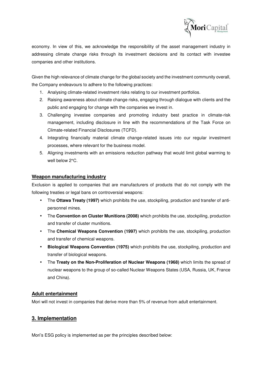

economy. In view of this, we acknowledge the responsibility of the asset management industry in addressing climate change risks through its investment decisions and its contact with investee companies and other institutions.

Given the high relevance of climate change for the global society and the investment community overall, the Company endeavours to adhere to the following practices:

- 1. Analysing climate-related investment risks relating to our investment portfolios.
- 2. Raising awareness about climate change risks, engaging through dialogue with clients and the public and engaging for change with the companies we invest in.
- 3. Challenging investee companies and promoting industry best practice in climate-risk management, including disclosure in line with the recommendations of the Task Force on Climate-related Financial Disclosures (TCFD).
- 4. Integrating financially material climate change-related issues into our regular investment processes, where relevant for the business model.
- 5. Aligning investments with an emissions reduction pathway that would limit global warming to well below 2°C.

#### **Weapon manufacturing industry**

Exclusion is applied to companies that are manufacturers of products that do not comply with the following treaties or legal bans on controversial weapons:

- The **Ottawa Treaty (1997)** which prohibits the use, stockpiling, production and transfer of antipersonnel mines.
- The **Convention on Cluster Munitions (2008)** which prohibits the use, stockpiling, production and transfer of cluster munitions.
- The **Chemical Weapons Convention (1997)** which prohibits the use, stockpiling, production and transfer of chemical weapons.
- **Biological Weapons Convention (1975)** which prohibits the use, stockpiling, production and transfer of biological weapons.
- The **Treaty on the Non-Proliferation of Nuclear Weapons (1968)** which limits the spread of nuclear weapons to the group of so-called Nuclear Weapons States (USA, Russia, UK, France and China).

# **Adult entertainment**

Mori will not invest in companies that derive more than 5% of revenue from adult entertainment.

# **3. Implementation**

Mori's ESG policy is implemented as per the principles described below: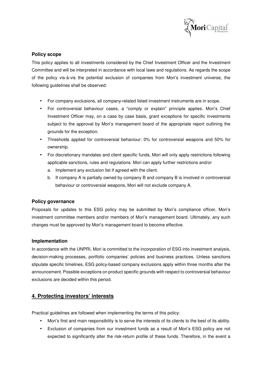

#### **Policy scope**

This policy applies to all investments considered by the Chief Investment Officer and the Investment Committee and will be interpreted in accordance with local laws and regulations. As regards the scope of the policy vis-à-vis the potential exclusion of companies from Mori's investment universe, the following guidelines shall be observed:

- For company exclusions, all company-related listed investment instruments are in scope.
- For controversial behaviour cases, a "comply or explain" principle applies. Mori's Chief Investment Officer may, on a case by case basis, grant exceptions for specific investments subject to the approval by Mori's management board of the appropriate report outlining the grounds for the exception.
- Thresholds applied for controversial behaviour: 0% for controversial weapons and 50% for ownership.
- For discretionary mandates and client specific funds, Mori will only apply restrictions following applicable sanctions, rules and regulations. Mori can apply further restrictions and/or
	- a. Implement any exclusion list if agreed with the client.
	- b. If company A is partially owned by company B and company B is involved in controversial behaviour or controversial weapons, Mori will not exclude company A.

#### **Policy governance**

Proposals for updates to this ESG policy may be submitted by Mori's compliance officer, Mori's investment committee members and/or members of Mori's management board. Ultimately, any such changes must be approved by Mori's management board to become effective.

#### **Implementation**

In accordance with the UNPRI, Mori is committed to the incorporation of ESG into investment analysis, decision-making processes, portfolio companies' policies and business practices. Unless sanctions stipulate specific timelines, ESG policy-based company exclusions apply within three months after the announcement. Possible exceptions on product specific grounds with respect to controversial behaviour exclusions are decided within this period.

# **4. Protecting investors' interests**

Practical guidelines are followed when implementing the terms of this policy:

- Mori's first and main responsibility is to serve the interests of its clients to the best of its ability.
- Exclusion of companies from our investment funds as a result of Mori's ESG policy are not expected to significantly alter the risk-return profile of these funds. Therefore, in the event a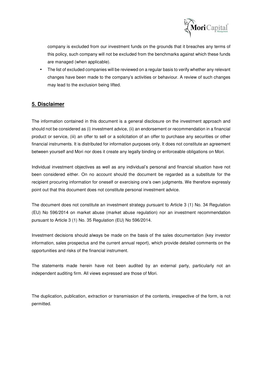

company is excluded from our investment funds on the grounds that it breaches any terms of this policy, such company will not be excluded from the benchmarks against which these funds are managed (when applicable).

• The list of excluded companies will be reviewed on a regular basis to verify whether any relevant changes have been made to the company's activities or behaviour. A review of such changes may lead to the exclusion being lifted.

# **5. Disclaimer**

The information contained in this document is a general disclosure on the investment approach and should not be considered as (i) investment advice, (ii) an endorsement or recommendation in a financial product or service, (iii) an offer to sell or a solicitation of an offer to purchase any securities or other financial instruments. It is distributed for information purposes only. It does not constitute an agreement between yourself and Mori nor does it create any legally binding or enforceable obligations on Mori.

Individual investment objectives as well as any individual's personal and financial situation have not been considered either. On no account should the document be regarded as a substitute for the recipient procuring information for oneself or exercising one's own judgments. We therefore expressly point out that this document does not constitute personal investment advice.

The document does not constitute an investment strategy pursuant to Article 3 (1) No. 34 Regulation (EU) No 596/2014 on market abuse (market abuse regulation) nor an investment recommendation pursuant to Article 3 (1) No. 35 Regulation (EU) No 596/2014.

Investment decisions should always be made on the basis of the sales documentation (key investor information, sales prospectus and the current annual report), which provide detailed comments on the opportunities and risks of the financial instrument.

The statements made herein have not been audited by an external party, particularly not an independent auditing firm. All views expressed are those of Mori.

The duplication, publication, extraction or transmission of the contents, irrespective of the form, is not permitted.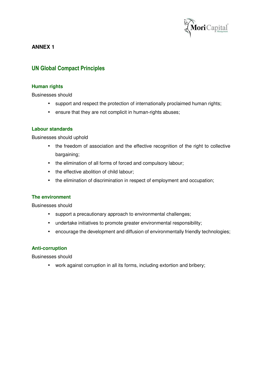

**ANNEX 1** 

# **UN Global Compact Principles**

#### **Human rights**

Businesses should

- support and respect the protection of internationally proclaimed human rights;
- ensure that they are not complicit in human-rights abuses;

#### **Labour standards**

Businesses should uphold

- the freedom of association and the effective recognition of the right to collective bargaining;
- the elimination of all forms of forced and compulsory labour;
- the effective abolition of child labour;
- the elimination of discrimination in respect of employment and occupation;

#### **The environment**

Businesses should

- support a precautionary approach to environmental challenges;
- undertake initiatives to promote greater environmental responsibility;
- encourage the development and diffusion of environmentally friendly technologies;

# **Anti-corruption**

Businesses should

• work against corruption in all its forms, including extortion and bribery;